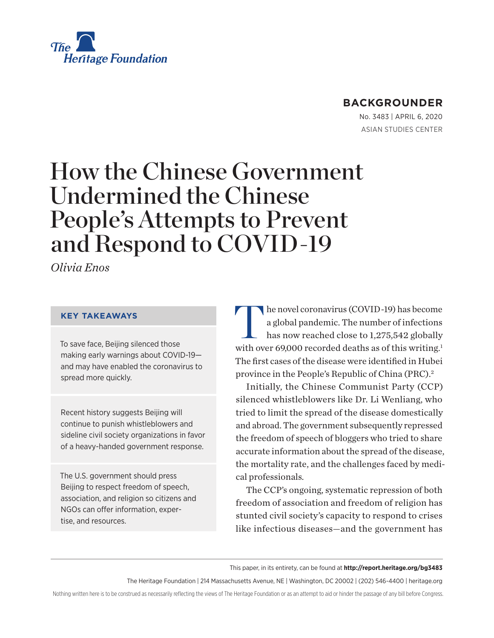

### **BACKGROUNDER**

No. 3483 | April 6, 2020 ASIAN STUDIES CENTER

# How the Chinese Government Undermined the Chinese People's Attempts to Prevent and Respond to COVID-19

*Olivia Enos*

#### **KEY TAKEAWAYS**

To save face, Beijing silenced those making early warnings about COVID-19 and may have enabled the coronavirus to spread more quickly.

Recent history suggests Beijing will continue to punish whistleblowers and sideline civil society organizations in favor of a heavy-handed government response.

The U.S. government should press Beijing to respect freedom of speech, association, and religion so citizens and NGOs can offer information, expertise, and resources.

The novel coronavirus (COVID-19) has become<br>a global pandemic. The number of infections<br>has now reached close to 1,275,542 globally a global pandemic. The number of infections has now reached close to 1,275,542 globally with over 69,000 recorded deaths as of this writing.<sup>1</sup> The first cases of the disease were identified in Hubei province in the People's Republic of China (PRC).2

Initially, the Chinese Communist Party (CCP) silenced whistleblowers like Dr. Li Wenliang, who tried to limit the spread of the disease domestically and abroad. The government subsequently repressed the freedom of speech of bloggers who tried to share accurate information about the spread of the disease, the mortality rate, and the challenges faced by medical professionals.

The CCP's ongoing, systematic repression of both freedom of association and freedom of religion has stunted civil society's capacity to respond to crises like infectious diseases—and the government has

This paper, in its entirety, can be found at **http://report.heritage.org/bg3483**

The Heritage Foundation | 214 Massachusetts Avenue, NE | Washington, DC 20002 | (202) 546-4400 | heritage.org

Nothing written here is to be construed as necessarily reflecting the views of The Heritage Foundation or as an attempt to aid or hinder the passage of any bill before Congress.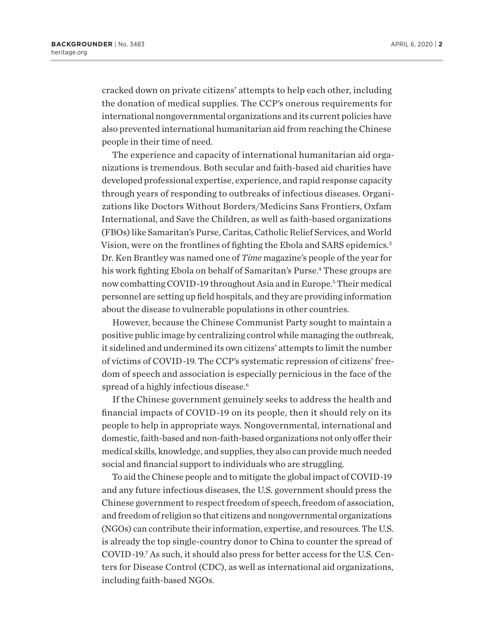cracked down on private citizens' attempts to help each other, including the donation of medical supplies. The CCP's onerous requirements for international nongovernmental organizations and its current policies have also prevented international humanitarian aid from reaching the Chinese people in their time of need.

The experience and capacity of international humanitarian aid organizations is tremendous. Both secular and faith-based aid charities have developed professional expertise, experience, and rapid response capacity through years of responding to outbreaks of infectious diseases. Organizations like Doctors Without Borders/Medicins Sans Frontiers, Oxfam International, and Save the Children, as well as faith-based organizations (FBOs) like Samaritan's Purse, Caritas, Catholic Relief Services, and World Vision, were on the frontlines of fighting the Ebola and SARS epidemics.3 Dr. Ken Brantley was named one of *Time* magazine's people of the year for his work fighting Ebola on behalf of Samaritan's Purse.<sup>4</sup> These groups are now combatting COVID-19 throughout Asia and in Europe.5 Their medical personnel are setting up field hospitals, and they are providing information about the disease to vulnerable populations in other countries.

However, because the Chinese Communist Party sought to maintain a positive public image by centralizing control while managing the outbreak, it sidelined and undermined its own citizens' attempts to limit the number of victims of COVID-19. The CCP's systematic repression of citizens' freedom of speech and association is especially pernicious in the face of the spread of a highly infectious disease.<sup>6</sup>

If the Chinese government genuinely seeks to address the health and financial impacts of COVID-19 on its people, then it should rely on its people to help in appropriate ways. Nongovernmental, international and domestic, faith-based and non-faith-based organizations not only offer their medical skills, knowledge, and supplies, they also can provide much needed social and financial support to individuals who are struggling.

To aid the Chinese people and to mitigate the global impact of COVID-19 and any future infectious diseases, the U.S. government should press the Chinese government to respect freedom of speech, freedom of association, and freedom of religion so that citizens and nongovernmental organizations (NGOs) can contribute their information, expertise, and resources. The U.S. is already the top single-country donor to China to counter the spread of COVID-19.7 As such, it should also press for better access for the U.S. Centers for Disease Control (CDC), as well as international aid organizations, including faith-based NGOs.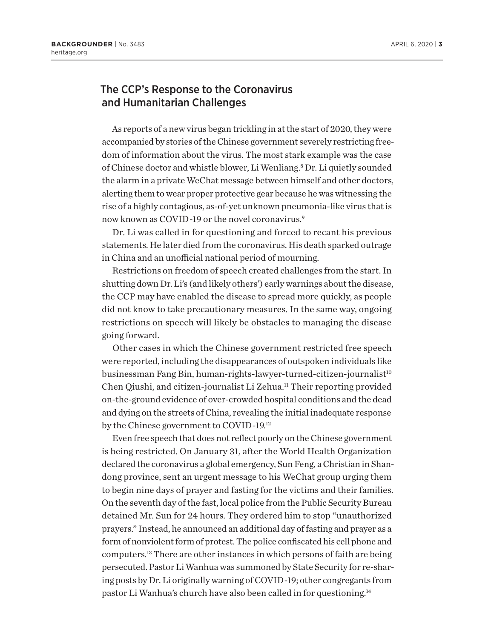### The CCP's Response to the Coronavirus and Humanitarian Challenges

As reports of a new virus began trickling in at the start of 2020, they were accompanied by stories of the Chinese government severely restricting freedom of information about the virus. The most stark example was the case of Chinese doctor and whistle blower, Li Wenliang.8 Dr. Li quietly sounded the alarm in a private WeChat message between himself and other doctors, alerting them to wear proper protective gear because he was witnessing the rise of a highly contagious, as-of-yet unknown pneumonia-like virus that is now known as COVID-19 or the novel coronavirus.<sup>9</sup>

Dr. Li was called in for questioning and forced to recant his previous statements. He later died from the coronavirus. His death sparked outrage in China and an unofficial national period of mourning.

Restrictions on freedom of speech created challenges from the start. In shutting down Dr. Li's (and likely others') early warnings about the disease, the CCP may have enabled the disease to spread more quickly, as people did not know to take precautionary measures. In the same way, ongoing restrictions on speech will likely be obstacles to managing the disease going forward.

Other cases in which the Chinese government restricted free speech were reported, including the disappearances of outspoken individuals like businessman Fang Bin, human-rights-lawyer-turned-citizen-journalist<sup>10</sup> Chen Qiushi, and citizen-journalist Li Zehua.11 Their reporting provided on-the-ground evidence of over-crowded hospital conditions and the dead and dying on the streets of China, revealing the initial inadequate response by the Chinese government to COVID-19.12

Even free speech that does not reflect poorly on the Chinese government is being restricted. On January 31, after the World Health Organization declared the coronavirus a global emergency, Sun Feng, a Christian in Shandong province, sent an urgent message to his WeChat group urging them to begin nine days of prayer and fasting for the victims and their families. On the seventh day of the fast, local police from the Public Security Bureau detained Mr. Sun for 24 hours. They ordered him to stop "unauthorized prayers." Instead, he announced an additional day of fasting and prayer as a form of nonviolent form of protest. The police confiscated his cell phone and computers.13 There are other instances in which persons of faith are being persecuted. Pastor Li Wanhua was summoned by State Security for re-sharing posts by Dr. Li originally warning of COVID-19; other congregants from pastor Li Wanhua's church have also been called in for questioning.<sup>14</sup>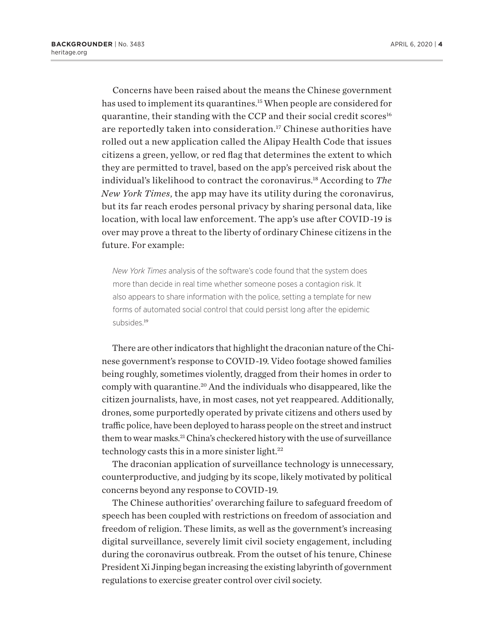Concerns have been raised about the means the Chinese government has used to implement its quarantines.<sup>15</sup> When people are considered for quarantine, their standing with the CCP and their social credit scores<sup>16</sup> are reportedly taken into consideration.<sup>17</sup> Chinese authorities have rolled out a new application called the Alipay Health Code that issues citizens a green, yellow, or red flag that determines the extent to which they are permitted to travel, based on the app's perceived risk about the individual's likelihood to contract the coronavirus.18 According to *The New York Times*, the app may have its utility during the coronavirus, but its far reach erodes personal privacy by sharing personal data, like location, with local law enforcement. The app's use after COVID-19 is over may prove a threat to the liberty of ordinary Chinese citizens in the future. For example:

*New York Times* analysis of the software's code found that the system does more than decide in real time whether someone poses a contagion risk. It also appears to share information with the police, setting a template for new forms of automated social control that could persist long after the epidemic subsides.<sup>19</sup>

There are other indicators that highlight the draconian nature of the Chinese government's response to COVID-19. Video footage showed families being roughly, sometimes violently, dragged from their homes in order to comply with quarantine.20 And the individuals who disappeared, like the citizen journalists, have, in most cases, not yet reappeared. Additionally, drones, some purportedly operated by private citizens and others used by traffic police, have been deployed to harass people on the street and instruct them to wear masks.<sup>21</sup> China's checkered history with the use of surveillance technology casts this in a more sinister light.<sup>22</sup>

The draconian application of surveillance technology is unnecessary, counterproductive, and judging by its scope, likely motivated by political concerns beyond any response to COVID-19.

The Chinese authorities' overarching failure to safeguard freedom of speech has been coupled with restrictions on freedom of association and freedom of religion. These limits, as well as the government's increasing digital surveillance, severely limit civil society engagement, including during the coronavirus outbreak. From the outset of his tenure, Chinese President Xi Jinping began increasing the existing labyrinth of government regulations to exercise greater control over civil society.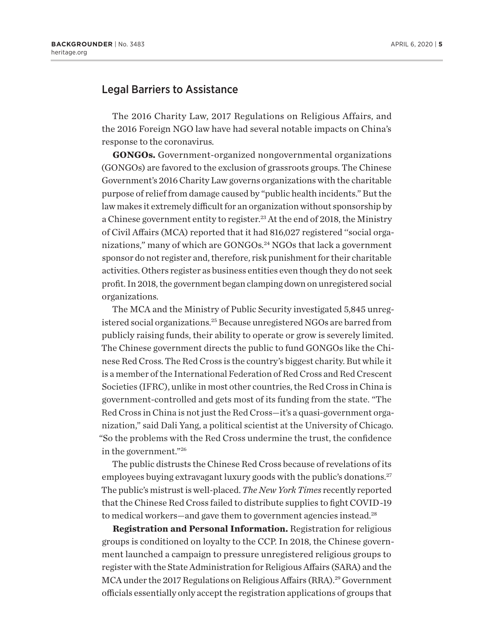### Legal Barriers to Assistance

The 2016 Charity Law, 2017 Regulations on Religious Affairs, and the 2016 Foreign NGO law have had several notable impacts on China's response to the coronavirus.

**GONGOs.** Government-organized nongovernmental organizations (GONGOs) are favored to the exclusion of grassroots groups. The Chinese Government's 2016 Charity Law governs organizations with the charitable purpose of relief from damage caused by "public health incidents." But the law makes it extremely difficult for an organization without sponsorship by a Chinese government entity to register.<sup>23</sup> At the end of 2018, the Ministry of Civil Affairs (MCA) reported that it had 816,027 registered ''social organizations," many of which are GONGOs.<sup>24</sup> NGOs that lack a government sponsor do not register and, therefore, risk punishment for their charitable activities. Others register as business entities even though they do not seek profit. In 2018, the government began clamping down on unregistered social organizations.

The MCA and the Ministry of Public Security investigated 5,845 unregistered social organizations.25 Because unregistered NGOs are barred from publicly raising funds, their ability to operate or grow is severely limited. The Chinese government directs the public to fund GONGOs like the Chinese Red Cross. The Red Cross is the country's biggest charity. But while it is a member of the International Federation of Red Cross and Red Crescent Societies (IFRC), unlike in most other countries, the Red Cross in China is government-controlled and gets most of its funding from the state. "The Red Cross in China is not just the Red Cross—it's a quasi-government organization," said Dali Yang, a political scientist at the University of Chicago. "So the problems with the Red Cross undermine the trust, the confidence in the government."26

The public distrusts the Chinese Red Cross because of revelations of its employees buying extravagant luxury goods with the public's donations.<sup>27</sup> The public's mistrust is well-placed. *The New York Times* recently reported that the Chinese Red Cross failed to distribute supplies to fight COVID-19 to medical workers—and gave them to government agencies instead.<sup>28</sup>

**Registration and Personal Information.** Registration for religious groups is conditioned on loyalty to the CCP. In 2018, the Chinese government launched a campaign to pressure unregistered religious groups to register with the State Administration for Religious Affairs (SARA) and the MCA under the 2017 Regulations on Religious Affairs (RRA).<sup>29</sup> Government officials essentially only accept the registration applications of groups that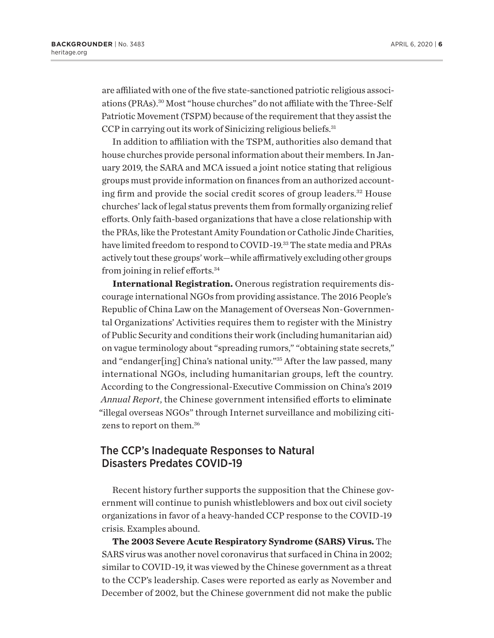are affiliated with one of the five state-sanctioned patriotic religious associations (PRAs).30 Most "house churches" do not affiliate with the Three-Self Patriotic Movement (TSPM) because of the requirement that they assist the CCP in carrying out its work of Sinicizing religious beliefs.<sup>31</sup>

In addition to affiliation with the TSPM, authorities also demand that house churches provide personal information about their members. In January 2019, the SARA and MCA issued a joint notice stating that religious groups must provide information on finances from an authorized accounting firm and provide the social credit scores of group leaders.32 House churches' lack of legal status prevents them from formally organizing relief efforts. Only faith-based organizations that have a close relationship with the PRAs, like the Protestant Amity Foundation or Catholic Jinde Charities, have limited freedom to respond to COVID-19.<sup>33</sup> The state media and PRAs actively tout these groups' work—while affirmatively excluding other groups from joining in relief efforts.34

**International Registration.** Onerous registration requirements discourage international NGOs from providing assistance. The 2016 People's Republic of China Law on the Management of Overseas Non-Governmental Organizations' Activities requires them to register with the Ministry of Public Security and conditions their work (including humanitarian aid) on vague terminology about "spreading rumors," "obtaining state secrets," and "endanger[ing] China's national unity."35 After the law passed, many international NGOs, including humanitarian groups, left the country. According to the Congressional-Executive Commission on China's 2019 *Annual Report*, the Chinese government intensified efforts to eliminate "illegal overseas NGOs" through Internet surveillance and mobilizing citizens to report on them.36

#### The CCP's Inadequate Responses to Natural Disasters Predates COVID-19

Recent history further supports the supposition that the Chinese government will continue to punish whistleblowers and box out civil society organizations in favor of a heavy-handed CCP response to the COVID-19 crisis. Examples abound.

**The 2003 Severe Acute Respiratory Syndrome (SARS) Virus.** The SARS virus was another novel coronavirus that surfaced in China in 2002; similar to COVID-19, it was viewed by the Chinese government as a threat to the CCP's leadership. Cases were reported as early as November and December of 2002, but the Chinese government did not make the public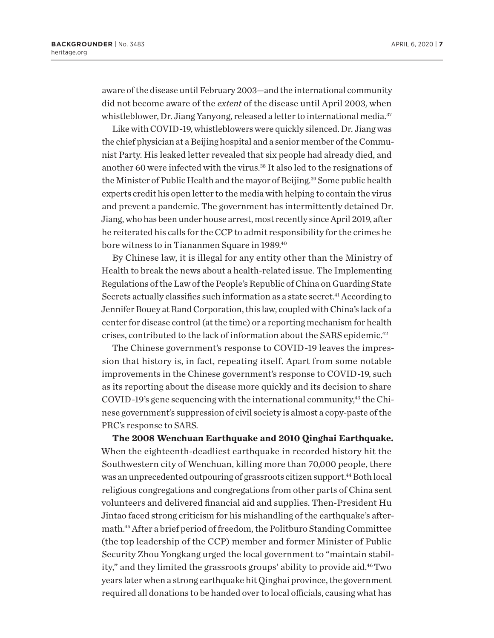aware of the disease until February 2003—and the international community did not become aware of the *extent* of the disease until April 2003, when whistleblower, Dr. Jiang Yanyong, released a letter to international media.<sup>37</sup>

Like with COVID-19, whistleblowers were quickly silenced. Dr. Jiang was the chief physician at a Beijing hospital and a senior member of the Communist Party. His leaked letter revealed that six people had already died, and another 60 were infected with the virus.38 It also led to the resignations of the Minister of Public Health and the mayor of Beijing.<sup>39</sup> Some public health experts credit his open letter to the media with helping to contain the virus and prevent a pandemic. The government has intermittently detained Dr. Jiang, who has been under house arrest, most recently since April 2019, after he reiterated his calls for the CCP to admit responsibility for the crimes he bore witness to in Tiananmen Square in 1989.40

By Chinese law, it is illegal for any entity other than the Ministry of Health to break the news about a health-related issue. The Implementing Regulations of the Law of the People's Republic of China on Guarding State Secrets actually classifies such information as a state secret.<sup>41</sup> According to Jennifer Bouey at Rand Corporation, this law, coupled with China's lack of a center for disease control (at the time) or a reporting mechanism for health crises, contributed to the lack of information about the SARS epidemic.42

The Chinese government's response to COVID-19 leaves the impression that history is, in fact, repeating itself. Apart from some notable improvements in the Chinese government's response to COVID-19, such as its reporting about the disease more quickly and its decision to share COVID-19's gene sequencing with the international community,<sup>43</sup> the Chinese government's suppression of civil society is almost a copy-paste of the PRC's response to SARS.

**The 2008 Wenchuan Earthquake and 2010 Qinghai Earthquake.** When the eighteenth-deadliest earthquake in recorded history hit the Southwestern city of Wenchuan, killing more than 70,000 people, there was an unprecedented outpouring of grassroots citizen support.44 Both local religious congregations and congregations from other parts of China sent volunteers and delivered financial aid and supplies. Then-President Hu Jintao faced strong criticism for his mishandling of the earthquake's aftermath.45 After a brief period of freedom, the Politburo Standing Committee (the top leadership of the CCP) member and former Minister of Public Security Zhou Yongkang urged the local government to "maintain stability," and they limited the grassroots groups' ability to provide aid.46Two years later when a strong earthquake hit Qinghai province, the government required all donations to be handed over to local officials, causing what has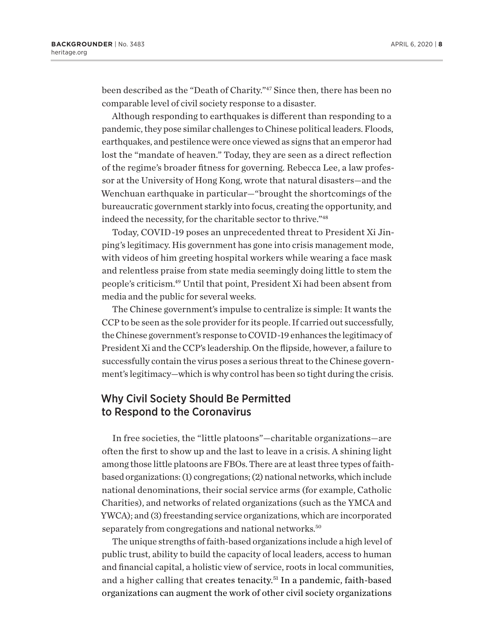been described as the "Death of Charity."47 Since then, there has been no comparable level of civil society response to a disaster.

Although responding to earthquakes is different than responding to a pandemic, they pose similar challenges to Chinese political leaders. Floods, earthquakes, and pestilence were once viewed as signs that an emperor had lost the "mandate of heaven." Today, they are seen as a direct reflection of the regime's broader fitness for governing. Rebecca Lee, a law professor at the University of Hong Kong, wrote that natural disasters—and the Wenchuan earthquake in particular—"brought the shortcomings of the bureaucratic government starkly into focus, creating the opportunity, and indeed the necessity, for the charitable sector to thrive."48

Today, COVID-19 poses an unprecedented threat to President Xi Jinping's legitimacy. His government has gone into crisis management mode, with videos of him greeting hospital workers while wearing a face mask and relentless praise from state media seemingly doing little to stem the people's criticism.49 Until that point, President Xi had been absent from media and the public for several weeks.

The Chinese government's impulse to centralize is simple: It wants the CCP to be seen as the sole provider for its people. If carried out successfully, the Chinese government's response to COVID-19 enhances the legitimacy of President Xi and the CCP's leadership. On the flipside, however, a failure to successfully contain the virus poses a serious threat to the Chinese government's legitimacy—which is why control has been so tight during the crisis.

## Why Civil Society Should Be Permitted to Respond to the Coronavirus

In free societies, the "little platoons"—charitable organizations—are often the first to show up and the last to leave in a crisis. A shining light among those little platoons are FBOs. There are at least three types of faithbased organizations: (1) congregations; (2) national networks, which include national denominations, their social service arms (for example, Catholic Charities), and networks of related organizations (such as the YMCA and YWCA); and (3) freestanding service organizations, which are incorporated separately from congregations and national networks.<sup>50</sup>

The unique strengths of faith-based organizations include a high level of public trust, ability to build the capacity of local leaders, access to human and financial capital, a holistic view of service, roots in local communities, and a higher calling that creates tenacity.<sup>51</sup> In a pandemic, faith-based organizations can augment the work of other civil society organizations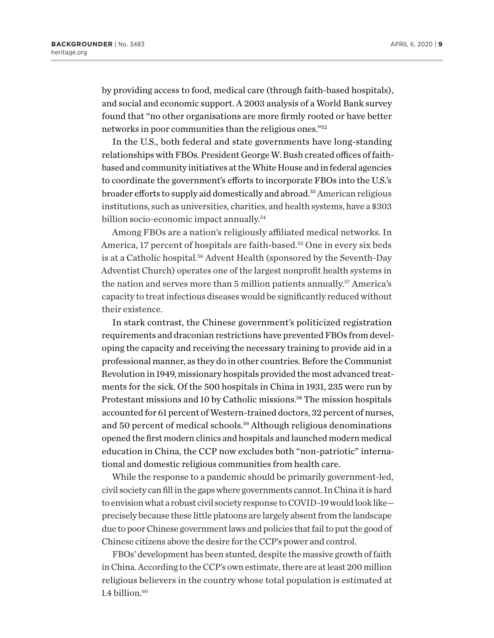by providing access to food, medical care (through faith-based hospitals), and social and economic support. A 2003 analysis of a World Bank survey found that "no other organisations are more firmly rooted or have better networks in poor communities than the religious ones."52

In the U.S., both federal and state governments have long-standing relationships with FBOs. President George W. Bush created offices of faithbased and community initiatives at the White House and in federal agencies to coordinate the government's efforts to incorporate FBOs into the U.S.'s broader efforts to supply aid domestically and abroad.<sup>53</sup> American religious institutions, such as universities, charities, and health systems, have a \$303 billion socio-economic impact annually.<sup>54</sup>

Among FBOs are a nation's religiously affiliated medical networks. In America, 17 percent of hospitals are faith-based.<sup>55</sup> One in every six beds is at a Catholic hospital.56 Advent Health (sponsored by the Seventh-Day Adventist Church) operates one of the largest nonprofit health systems in the nation and serves more than 5 million patients annually.<sup>57</sup> America's capacity to treat infectious diseases would be significantly reduced without their existence.

In stark contrast, the Chinese government's politicized registration requirements and draconian restrictions have prevented FBOs from developing the capacity and receiving the necessary training to provide aid in a professional manner, as they do in other countries. Before the Communist Revolution in 1949, missionary hospitals provided the most advanced treatments for the sick. Of the 500 hospitals in China in 1931, 235 were run by Protestant missions and 10 by Catholic missions.58 The mission hospitals accounted for 61 percent of Western-trained doctors, 32 percent of nurses, and 50 percent of medical schools.<sup>59</sup> Although religious denominations opened the first modern clinics and hospitals and launched modern medical education in China, the CCP now excludes both "non-patriotic" international and domestic religious communities from health care.

While the response to a pandemic should be primarily government-led, civil society can fill in the gaps where governments cannot. In China it is hard to envision what a robust civil society response to COVID-19 would look like precisely because these little platoons are largely absent from the landscape due to poor Chinese government laws and policies that fail to put the good of Chinese citizens above the desire for the CCP's power and control.

FBOs' development has been stunted, despite the massive growth of faith in China. According to the CCP's own estimate, there are at least 200 million religious believers in the country whose total population is estimated at  $1.4$  billion.<sup>60</sup>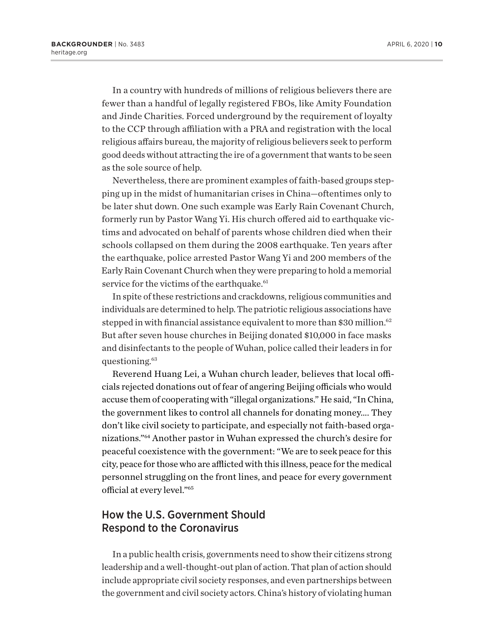heritage.org

In a country with hundreds of millions of religious believers there are fewer than a handful of legally registered FBOs, like Amity Foundation and Jinde Charities. Forced underground by the requirement of loyalty to the CCP through affiliation with a PRA and registration with the local religious affairs bureau, the majority of religious believers seek to perform good deeds without attracting the ire of a government that wants to be seen as the sole source of help.

Nevertheless, there are prominent examples of faith-based groups stepping up in the midst of humanitarian crises in China—oftentimes only to be later shut down. One such example was Early Rain Covenant Church, formerly run by Pastor Wang Yi. His church offered aid to earthquake victims and advocated on behalf of parents whose children died when their schools collapsed on them during the 2008 earthquake. Ten years after the earthquake, police arrested Pastor Wang Yi and 200 members of the Early Rain Covenant Church when they were preparing to hold a memorial service for the victims of the earthquake.<sup>61</sup>

In spite of these restrictions and crackdowns, religious communities and individuals are determined to help. The patriotic religious associations have stepped in with financial assistance equivalent to more than \$30 million.<sup>62</sup> But after seven house churches in Beijing donated \$10,000 in face masks and disinfectants to the people of Wuhan, police called their leaders in for questioning.63

Reverend Huang Lei, a Wuhan church leader, believes that local officials rejected donations out of fear of angering Beijing officials who would accuse them of cooperating with "illegal organizations." He said, "In China, the government likes to control all channels for donating money…. They don't like civil society to participate, and especially not faith-based organizations."64 Another pastor in Wuhan expressed the church's desire for peaceful coexistence with the government: "We are to seek peace for this city, peace for those who are afflicted with this illness, peace for the medical personnel struggling on the front lines, and peace for every government official at every level."65

### How the U.S. Government Should Respond to the Coronavirus

In a public health crisis, governments need to show their citizens strong leadership and a well-thought-out plan of action. That plan of action should include appropriate civil society responses, and even partnerships between the government and civil society actors. China's history of violating human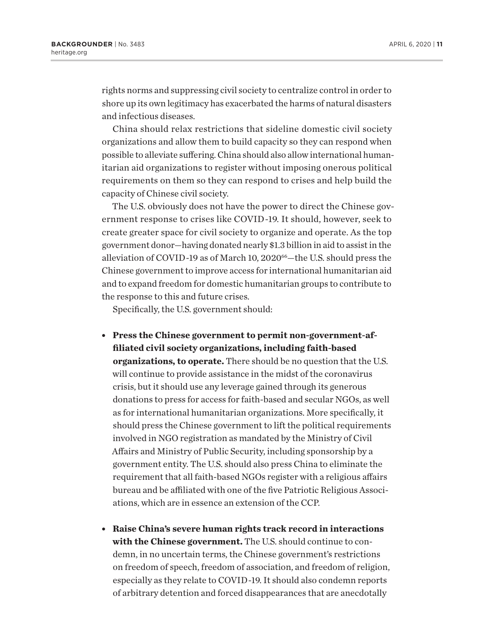rights norms and suppressing civil society to centralize control in order to shore up its own legitimacy has exacerbated the harms of natural disasters and infectious diseases.

China should relax restrictions that sideline domestic civil society organizations and allow them to build capacity so they can respond when possible to alleviate suffering. China should also allow international humanitarian aid organizations to register without imposing onerous political requirements on them so they can respond to crises and help build the capacity of Chinese civil society.

The U.S. obviously does not have the power to direct the Chinese government response to crises like COVID-19. It should, however, seek to create greater space for civil society to organize and operate. As the top government donor—having donated nearly \$1.3 billion in aid to assist in the alleviation of COVID-19 as of March 10, 2020<sup>66</sup>—the U.S. should press the Chinese government to improve access for international humanitarian aid and to expand freedom for domestic humanitarian groups to contribute to the response to this and future crises.

Specifically, the U.S. government should:

- **Press the Chinese government to permit non-government-affiliated civil society organizations, including faith-based organizations, to operate.** There should be no question that the U.S. will continue to provide assistance in the midst of the coronavirus crisis, but it should use any leverage gained through its generous donations to press for access for faith-based and secular NGOs, as well as for international humanitarian organizations. More specifically, it should press the Chinese government to lift the political requirements involved in NGO registration as mandated by the Ministry of Civil Affairs and Ministry of Public Security, including sponsorship by a government entity. The U.S. should also press China to eliminate the requirement that all faith-based NGOs register with a religious affairs bureau and be affiliated with one of the five Patriotic Religious Associations, which are in essence an extension of the CCP.
- <sup>l</sup> **Raise China's severe human rights track record in interactions with the Chinese government.** The U.S. should continue to condemn, in no uncertain terms, the Chinese government's restrictions on freedom of speech, freedom of association, and freedom of religion, especially as they relate to COVID-19. It should also condemn reports of arbitrary detention and forced disappearances that are anecdotally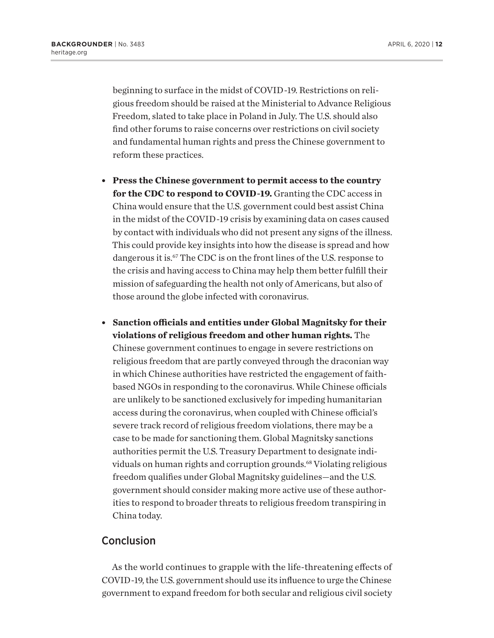beginning to surface in the midst of COVID-19. Restrictions on religious freedom should be raised at the Ministerial to Advance Religious Freedom, slated to take place in Poland in July. The U.S. should also find other forums to raise concerns over restrictions on civil society and fundamental human rights and press the Chinese government to reform these practices.

- **Press the Chinese government to permit access to the country for the CDC to respond to COVID-19.** Granting the CDC access in China would ensure that the U.S. government could best assist China in the midst of the COVID-19 crisis by examining data on cases caused by contact with individuals who did not present any signs of the illness. This could provide key insights into how the disease is spread and how dangerous it is.67 The CDC is on the front lines of the U.S. response to the crisis and having access to China may help them better fulfill their mission of safeguarding the health not only of Americans, but also of those around the globe infected with coronavirus.
- <sup>l</sup> **Sanction officials and entities under Global Magnitsky for their violations of religious freedom and other human rights.** The Chinese government continues to engage in severe restrictions on religious freedom that are partly conveyed through the draconian way in which Chinese authorities have restricted the engagement of faithbased NGOs in responding to the coronavirus. While Chinese officials are unlikely to be sanctioned exclusively for impeding humanitarian access during the coronavirus, when coupled with Chinese official's severe track record of religious freedom violations, there may be a case to be made for sanctioning them. Global Magnitsky sanctions authorities permit the U.S. Treasury Department to designate individuals on human rights and corruption grounds.<sup>68</sup> Violating religious freedom qualifies under Global Magnitsky guidelines—and the U.S. government should consider making more active use of these authorities to respond to broader threats to religious freedom transpiring in China today.

#### Conclusion

As the world continues to grapple with the life-threatening effects of COVID-19, the U.S. government should use its influence to urge the Chinese government to expand freedom for both secular and religious civil society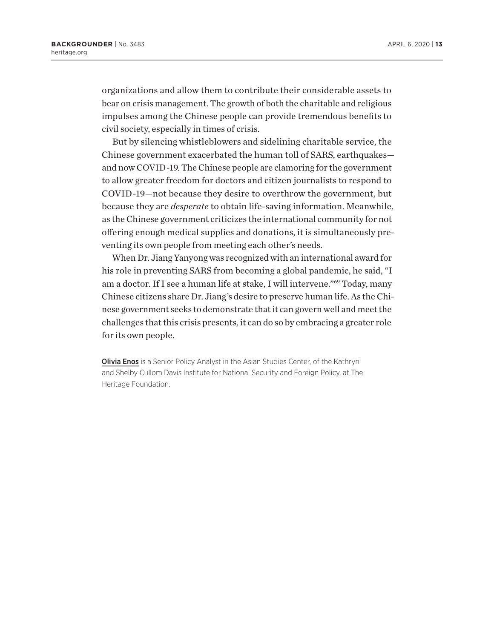organizations and allow them to contribute their considerable assets to bear on crisis management. The growth of both the charitable and religious impulses among the Chinese people can provide tremendous benefits to civil society, especially in times of crisis.

But by silencing whistleblowers and sidelining charitable service, the Chinese government exacerbated the human toll of SARS, earthquakes and now COVID-19. The Chinese people are clamoring for the government to allow greater freedom for doctors and citizen journalists to respond to COVID-19—not because they desire to overthrow the government, but because they are *desperate* to obtain life-saving information. Meanwhile, as the Chinese government criticizes the international community for not offering enough medical supplies and donations, it is simultaneously preventing its own people from meeting each other's needs.

When Dr. Jiang Yanyong was recognized with an international award for his role in preventing SARS from becoming a global pandemic, he said, "I am a doctor. If I see a human life at stake, I will intervene."69 Today, many Chinese citizens share Dr. Jiang's desire to preserve human life. As the Chinese government seeks to demonstrate that it can govern well and meet the challenges that this crisis presents, it can do so by embracing a greater role for its own people.

**Olivia Enos** is a Senior Policy Analyst in the Asian Studies Center, of the Kathryn and Shelby Cullom Davis Institute for National Security and Foreign Policy, at The Heritage Foundation.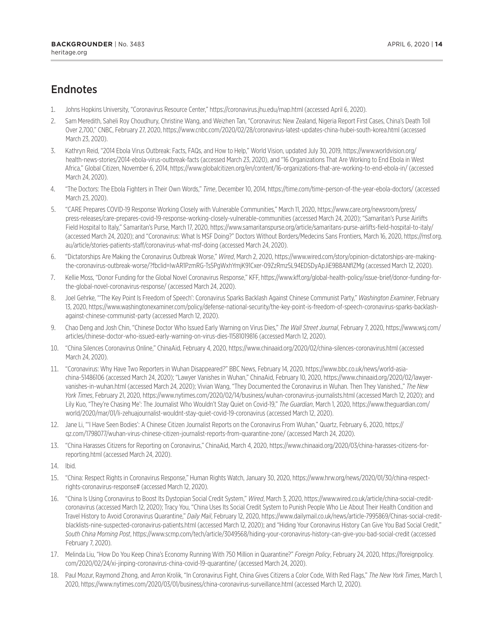# **Endnotes**

- 1. Johns Hopkins University, "Coronavirus Resource Center," https://coronavirus.jhu.edu/map.html (accessed April 6, 2020).
- 2. Sam Meredith, Saheli Roy Choudhury, Christine Wang, and Weizhen Tan, "Coronavirus: New Zealand, Nigeria Report First Cases, China's Death Toll Over 2,700," CNBC, February 27, 2020, https://www.cnbc.com/2020/02/28/coronavirus-latest-updates-china-hubei-south-korea.html (accessed March 23, 2020).
- 3. Kathryn Reid, "2014 Ebola Virus Outbreak: Facts, FAQs, and How to Help," World Vision, updated July 30, 2019, https://www.worldvision.org/ health-news-stories/2014-ebola-virus-outbreak-facts (accessed March 23, 2020), and "16 Organizations That Are Working to End Ebola in West Africa," Global Citizen, November 6, 2014, https://www.globalcitizen.org/en/content/16-organizations-that-are-working-to-end-ebola-in/ (accessed March 24, 2020).
- 4. "The Doctors: The Ebola Fighters in Their Own Words," *Time*, December 10, 2014, https://time.com/time-person-of-the-year-ebola-doctors/ (accessed March 23, 2020).
- 5. "CARE Prepares COVID-19 Response Working Closely with Vulnerable Communities," March 11, 2020, https://www.care.org/newsroom/press/ press-releases/care-prepares-covid-19-response-working-closely-vulnerable-communities (accessed March 24, 2020); "Samaritan's Purse Airlifts Field Hospital to Italy," Samaritan's Purse, March 17, 2020, https://www.samaritanspurse.org/article/samaritans-purse-airlifts-field-hospital-to-italy/ (accessed March 24, 2020); and "Coronavirus: What Is MSF Doing?" Doctors Without Borders/Medecins Sans Frontiers, March 16, 2020, https://msf.org. au/article/stories-patients-staff/coronavirus-what-msf-doing (accessed March 24, 2020).
- 6. "Dictatorships Are Making the Coronavirus Outbreak Worse," *Wired*, March 2, 2020, https://www.wired.com/story/opinion-dictatorships-are-makingthe-coronavirus-outbreak-worse/?fbclid=IwAR1PzmRG-Ts5PgWxhYmjK91Cxer-09ZzRmz5L94EDSDyApJiE9B8ANflZMg (accessed March 12, 2020).
- 7. Kellie Moss, "Donor Funding for the Global Novel Coronavirus Response," KFF, https://www.kff.org/global-health-policy/issue-brief/donor-funding-forthe-global-novel-coronavirus-response/ (accessed March 24, 2020).
- 8. Joel Gehrke, "'The Key Point Is Freedom of Speech': Coronavirus Sparks Backlash Against Chinese Communist Party," *Washington Examiner*, February 13, 2020, https://www.washingtonexaminer.com/policy/defense-national-security/the-key-point-is-freedom-of-speech-coronavirus-sparks-backlashagainst-chinese-communist-party (accessed March 12, 2020).
- 9. Chao Deng and Josh Chin, "Chinese Doctor Who Issued Early Warning on Virus Dies," *The Wall Street Journal*, February 7, 2020, https://www.wsj.com/ articles/chinese-doctor-who-issued-early-warning-on-virus-dies-11581019816 (accessed March 12, 2020).
- 10. "China Silences Coronavirus Online," ChinaAid, February 4, 2020, https://www.chinaaid.org/2020/02/china-silences-coronavirus.html (accessed March 24, 2020).
- 11. "Coronavirus: Why Have Two Reporters in Wuhan Disappeared?" BBC News, February 14, 2020, https://www.bbc.co.uk/news/world-asiachina-51486106 (accessed March 24, 2020); "Lawyer Vanishes in Wuhan," ChinaAid, February 10, 2020, https://www.chinaaid.org/2020/02/lawyervanishes-in-wuhan.html (accessed March 24, 2020); Vivian Wang, "They Documented the Coronavirus in Wuhan. Then They Vanished.," *The New York Times*, February 21, 2020, https://www.nytimes.com/2020/02/14/business/wuhan-coronavirus-journalists.html (accessed March 12, 2020); and Lily Kuo, "They're Chasing Me': The Journalist Who Wouldn't Stay Quiet on Covid-19," *The Guardian*, March 1, 2020, https://www.theguardian.com/ world/2020/mar/01/li-zehuajournalist-wouldnt-stay-quiet-covid-19-coronavirus (accessed March 12, 2020).
- 12. Jane Li, "'I Have Seen Bodies': A Chinese Citizen Journalist Reports on the Coronavirus From Wuhan," Quartz, February 6, 2020, https:// qz.com/1798077/wuhan-virus-chinese-citizen-journalist-reports-from-quarantine-zone/ (accessed March 24, 2020).
- 13. "China Harasses Citizens for Reporting on Coronavirus," ChinaAid, March 4, 2020, https://www.chinaaid.org/2020/03/china-harasses-citizens-forreporting.html (accessed March 24, 2020).
- 14. Ibid.
- 15. "China: Respect Rights in Coronavirus Response," Human Rights Watch, January 30, 2020, https://www.hrw.org/news/2020/01/30/china-respectrights-coronavirus-response# (accessed March 12, 2020).
- 16. "China Is Using Coronavirus to Boost Its Dystopian Social Credit System," *Wired*, March 3, 2020, https://www.wired.co.uk/article/china-social-creditcoronavirus (accessed March 12, 2020); Tracy You, "China Uses Its Social Credit System to Punish People Who Lie About Their Health Condition and Travel History to Avoid Coronavirus Quarantine," *Daily Mail*, February 12, 2020, https://www.dailymail.co.uk/news/article-7995869/Chinas-social-creditblacklists-nine-suspected-coronavirus-patients.html (accessed March 12, 2020); and "Hiding Your Coronavirus History Can Give You Bad Social Credit," *South China Morning Post*, https://www.scmp.com/tech/article/3049568/hiding-your-coronavirus-history-can-give-you-bad-social-credit (accessed February 7, 2020).
- 17. Melinda Liu, "How Do You Keep China's Economy Running With 750 Million in Quarantine?" *Foreign Policy*, February 24, 2020, https://foreignpolicy. com/2020/02/24/xi-jinping-coronavirus-china-covid-19-quarantine/ (accessed March 24, 2020).
- 18. Paul Mozur, Raymond Zhong, and Arron Krolik, "In Coronavirus Fight, China Gives Citizens a Color Code, With Red Flags," *The New York Times*, March 1, 2020, https://www.nytimes.com/2020/03/01/business/china-coronavirus-surveillance.html (accessed March 12, 2020).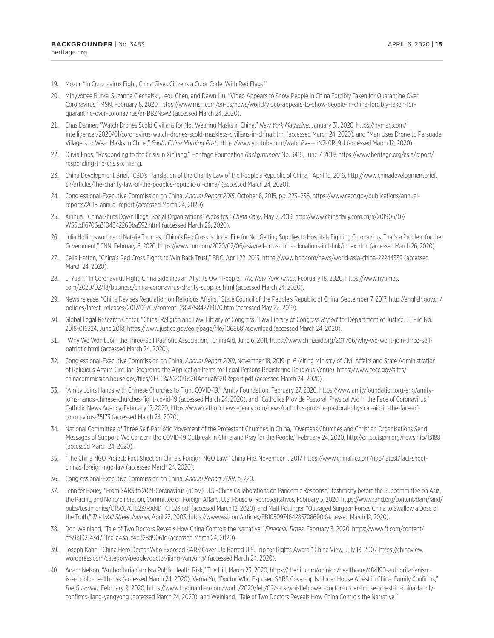- 19. Mozur, "In Coronavirus Fight, China Gives Citizens a Color Code, With Red Flags."
- 20. Minyvonee Burke, Suzanne Ciechalski, Leou Chen, and Dawn Liu, "Video Appears to Show People in China Forcibly Taken for Quarantine Over Coronavirus," MSN, February 8, 2020, https://www.msn.com/en-us/news/world/video-appears-to-show-people-in-china-forcibly-taken-forquarantine-over-coronavirus/ar-BBZNsw2 (accessed March 24, 2020).
- 21. Chas Danner, "Watch Drones Scold Civilians for Not Wearing Masks in China," *New York Magazine*, January 31, 2020, https://nymag.com/ intelligencer/2020/01/coronavirus-watch-drones-scold-maskless-civilians-in-china.html (accessed March 24, 2020), and "Man Uses Drone to Persuade Villagers to Wear Masks in China," *South China Morning Post*, https://www.youtube.com/watch?v=--nN7k0Rc9U (accessed March 12, 2020).
- 22. Olivia Enos, "Responding to the Crisis in Xinjiang," Heritage Foundation *Backgrounder* No. 3416, June 7, 2019, https://www.heritage.org/asia/report/ responding-the-crisis-xinjiang.
- 23. China Development Brief, "CBD's Translation of the Charity Law of the People's Republic of China," April 15, 2016, http://www.chinadevelopmentbrief. cn/articles/the-charity-law-of-the-peoples-republic-of-china/ (accessed March 24, 2020).
- 24. Congressional-Executive Commission on China, *Annual Report 2015*, October 8, 2015, pp. 223–236, https://www.cecc.gov/publications/annualreports/2015-annual-report (accessed March 24, 2020).
- 25. Xinhua, "China Shuts Down Illegal Social Organizations' Websites," *China Daily*, May 7, 2019, http://www.chinadaily.com.cn/a/201905/07/ WS5cd16706a3104842260ba592.html (accessed March 26, 2020).
- 26. Julia Hollingsworth and Natalie Thomas, "China's Red Cross Is Under Fire for Not Getting Supplies to Hospitals Fighting Coronavirus. That's a Problem for the Government," CNN, February 6, 2020, https://www.cnn.com/2020/02/06/asia/red-cross-china-donations-intl-hnk/index.html (accessed March 26, 2020).
- 27. Celia Hatton, "China's Red Cross Fights to Win Back Trust," BBC, April 22, 2013, https://www.bbc.com/news/world-asia-china-22244339 (accessed March 24, 2020).
- 28. Li Yuan, "In Coronavirus Fight, China Sidelines an Ally: Its Own People," *The New York Times*, February 18, 2020, https://www.nytimes. com/2020/02/18/business/china-coronavirus-charity-supplies.html (accessed March 24, 2020).
- 29. News release, "China Revises Regulation on Religious Affairs," State Council of the People's Republic of China, September 7, 2017, http://english.gov.cn/ policies/latest\_releases/2017/09/07/content\_281475842719170.htm (accessed May 22, 2019).
- 30. Global Legal Research Center, "China: Religion and Law, Library of Congress," Law Library of Congress *Report* for Department of Justice, LL File No. 2018-016324, June 2018, https://www.justice.gov/eoir/page/file/1068681/download (accessed March 24, 2020).
- 31. "Why We Won't Join the Three-Self Patriotic Association," ChinaAid, June 6, 2011, https://www.chinaaid.org/2011/06/why-we-wont-join-three-selfpatriotic.html (accessed March 24, 2020).
- 32. Congressional-Executive Commission on China, *Annual Report 2019*, November 18, 2019, p. 6 (citing Ministry of Civil Affairs and State Administration of Religious Affairs Circular Regarding the Application Items for Legal Persons Registering Religious Venue), https://www.cecc.gov/sites/ chinacommission.house.gov/files/CECC%202019%20Annual%20Report.pdf (accessed March 24, 2020) .
- 33. "Amity Joins Hands with Chinese Churches to Fight COVID-19," Amity Foundation, February 27, 2020, https://www.amityfoundation.org/eng/amityjoins-hands-chinese-churches-fight-covid-19 (accessed March 24, 2020), and "Catholics Provide Pastoral, Physical Aid in the Face of Coronavirus," Catholic News Agency, February 17, 2020, https://www.catholicnewsagency.com/news/catholics-provide-pastoral-physical-aid-in-the-face-ofcoronavirus-35173 (accessed March 24, 2020).
- 34. National Committee of Three Self-Patriotic Movement of the Protestant Churches in China, "Overseas Churches and Christian Organisations Send Messages of Support: We Concern the COVID-19 Outbreak in China and Pray for the People," February 24, 2020, http://en.ccctspm.org/newsinfo/13188 (accessed March 24, 2020).
- 35. "The China NGO Project: Fact Sheet on China's Foreign NGO Law," China File, November 1, 2017, https://www.chinafile.com/ngo/latest/fact-sheetchinas-foreign-ngo-law (accessed March 24, 2020).
- 36. Congressional-Executive Commission on China, *Annual Report 2019*, p. 220.
- 37. Jennifer Bouey, "From SARS to 2019-Coronavirus (nCoV): U.S.–China Collaborations on Pandemic Response," testimony before the Subcommittee on Asia, the Pacific, and Nonproliferation, Committee on Foreign Affairs, U.S. House of Representatives, February 5, 2020, https://www.rand.org/content/dam/rand/ pubs/testimonies/CT500/CT523/RAND\_CT523.pdf (accessed March 12, 2020), and Matt Pottinger, "Outraged Surgeon Forces China to Swallow a Dose of the Truth," *The Wall Street Journal*, April 22, 2003, https://www.wsj.com/articles/SB105097464285708600 (accessed March 12, 2020).
- 38. Don Weinland, "Tale of Two Doctors Reveals How China Controls the Narrative," *Financial Times*, February 3, 2020, https://www.ft.com/content/ cf59b132-43d7-11ea-a43a-c4b328d9061c (accessed March 24, 2020).
- 39. Joseph Kahn, "China Hero Doctor Who Exposed SARS Cover-Up Barred U.S. Trip for Rights Award," China View, July 13, 2007, https://chinaview. wordpress.com/category/people/doctor/jiang-yanyong/ (accessed March 24, 2020).
- 40. Adam Nelson, "Authoritarianism Is a Public Health Risk," The Hill, March 23, 2020, https://thehill.com/opinion/healthcare/484190-authoritarianismis-a-public-health-risk (accessed March 24, 2020); Verna Yu, "Doctor Who Exposed SARS Cover-up Is Under House Arrest in China, Family Confirms," *The Guardian*, February 9, 2020, https://www.theguardian.com/world/2020/feb/09/sars-whistleblower-doctor-under-house-arrest-in-china-familyconfirms-jiang-yangyong (accessed March 24, 2020); and Weinland, "Tale of Two Doctors Reveals How China Controls the Narrative."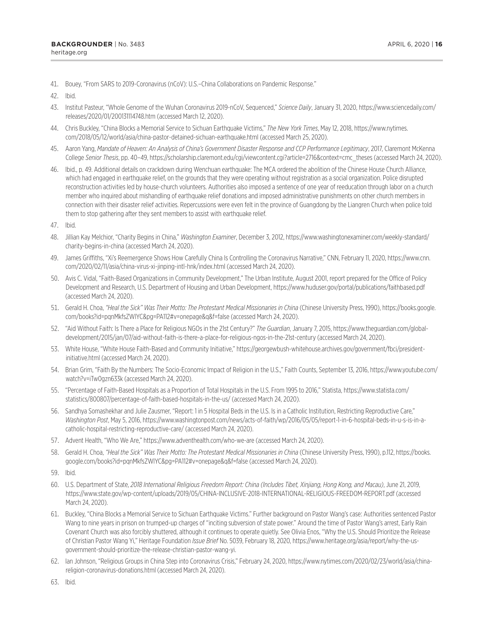- 41. Bouey, "From SARS to 2019-Coronavirus (nCoV): U.S.–China Collaborations on Pandemic Response."
- 42. Ibid.
- 43. Institut Pasteur, "Whole Genome of the Wuhan Coronavirus 2019-nCoV, Sequenced," *Science Daily*, January 31, 2020, https://www.sciencedaily.com/ releases/2020/01/200131114748.htm (accessed March 12, 2020).
- 44. Chris Buckley, "China Blocks a Memorial Service to Sichuan Earthquake Victims," *The New York Times*, May 12, 2018, https://www.nytimes. com/2018/05/12/world/asia/china-pastor-detained-sichuan-earthquake.html (accessed March 25, 2020).
- 45. Aaron Yang, *Mandate of Heaven: An Analysis of China's Government Disaster Response and CCP Performance Legitimacy*, 2017, Claremont McKenna College *Senior Thesis*, pp. 40–49, https://scholarship.claremont.edu/cgi/viewcontent.cgi?article=2716&context=cmc\_theses (accessed March 24, 2020).
- 46. Ibid., p. 49. Additional details on crackdown during Wenchuan earthquake: The MCA ordered the abolition of the Chinese House Church Alliance, which had engaged in earthquake relief, on the grounds that they were operating without registration as a social organization. Police disrupted reconstruction activities led by house-church volunteers. Authorities also imposed a sentence of one year of reeducation through labor on a church member who inquired about mishandling of earthquake relief donations and imposed administrative punishments on other church members in connection with their disaster relief activities. Repercussions were even felt in the province of Guangdong by the Liangren Church when police told them to stop gathering after they sent members to assist with earthquake relief.
- 47. Ibid.
- 48. Jillian Kay Melchior, "Charity Begins in China," *Washington Examiner*, December 3, 2012, https://www.washingtonexaminer.com/weekly-standard/ charity-begins-in-china (accessed March 24, 2020).
- 49. James Griffiths, "Xi's Reemergence Shows How Carefully China Is Controlling the Coronavirus Narrative," CNN, February 11, 2020, https://www.cnn. com/2020/02/11/asia/china-virus-xi-jinping-intl-hnk/index.html (accessed March 24, 2020).
- 50. Avis C. Vidal, "Faith-Based Organizations in Community Development," The Urban Institute, August 2001, report prepared for the Office of Policy Development and Research, U.S. Department of Housing and Urban Development, https://www.huduser.gov/portal/publications/faithbased.pdf (accessed March 24, 2020).
- 51. Gerald H. Choa, *"Heal the Sick" Was Their Motto: The Protestant Medical Missionaries in China* (Chinese University Press, 1990), https://books.google. com/books?id=pqnMkfsZWlYC&pg=PA112#v=onepage&q&f=false (accessed March 24, 2020).
- 52. "Aid Without Faith: Is There a Place for Religious NGOs in the 21st Century?" *The Guardian*, January 7, 2015, https://www.theguardian.com/globaldevelopment/2015/jan/07/aid-without-faith-is-there-a-place-for-religious-ngos-in-the-21st-century (accessed March 24, 2020).
- 53. White House, "White House Faith-Based and Community Initiative," https://georgewbush-whitehouse.archives.gov/government/fbci/presidentinitiative.html (accessed March 24, 2020).
- 54. Brian Grim, "Faith By the Numbers: The Socio-Economic Impact of Religion in the U.S.," Faith Counts, September 13, 2016, https://www.youtube.com/ watch?v=iTw0gzn633k (accessed March 24, 2020).
- 55. "Percentage of Faith-Based Hospitals as a Proportion of Total Hospitals in the U.S. From 1995 to 2016," Statista, https://www.statista.com/ statistics/800807/percentage-of-faith-based-hospitals-in-the-us/ (accessed March 24, 2020).
- 56. Sandhya Somashekhar and Julie Zausmer, "Report: 1 in 5 Hospital Beds in the U.S. Is in a Catholic Institution, Restricting Reproductive Care," *Washington Post*, May 5, 2016, https://www.washingtonpost.com/news/acts-of-faith/wp/2016/05/05/report-1-in-6-hospital-beds-in-u-s-is-in-acatholic-hospital-restricting-reproductive-care/ (accessed March 24, 2020).
- 57. Advent Health, "Who We Are," https://www.adventhealth.com/who-we-are (accessed March 24, 2020).
- 58. Gerald H. Choa, *"Heal the Sick" Was Their Motto: The Protestant Medical Missionaries in China* (Chinese University Press, 1990), p.112, https://books. google.com/books?id=pqnMkfsZWlYC&pg=PA112#v=onepage&q&f=false (accessed March 24, 2020).
- 59. Ibid.
- 60. U.S. Department of State, *2018 International Religious Freedom Report: China (Includes Tibet, Xinjiang, Hong Kong, and Macau)*, June 21, 2019, https://www.state.gov/wp-content/uploads/2019/05/CHINA-INCLUSIVE-2018-INTERNATIONAL-RELIGIOUS-FREEDOM-REPORT.pdf (accessed March 24, 2020).
- 61. Buckley, "China Blocks a Memorial Service to Sichuan Earthquake Victims." Further background on Pastor Wang's case: Authorities sentenced Pastor Wang to nine years in prison on trumped-up charges of "inciting subversion of state power." Around the time of Pastor Wang's arrest, Early Rain Covenant Church was also forcibly shuttered, although it continues to operate quietly. See Olivia Enos, "Why the U.S. Should Prioritize the Release of Christian Pastor Wang Yi," Heritage Foundation *Issue Brief* No. 5039, February 18, 2020, https://www.heritage.org/asia/report/why-the-usgovernment-should-prioritize-the-release-christian-pastor-wang-yi.
- 62. Ian Johnson, "Religious Groups in China Step into Coronavirus Crisis," February 24, 2020, https://www.nytimes.com/2020/02/23/world/asia/chinareligion-coronavirus-donations.html (accessed March 24, 2020).
- 63. Ibid.